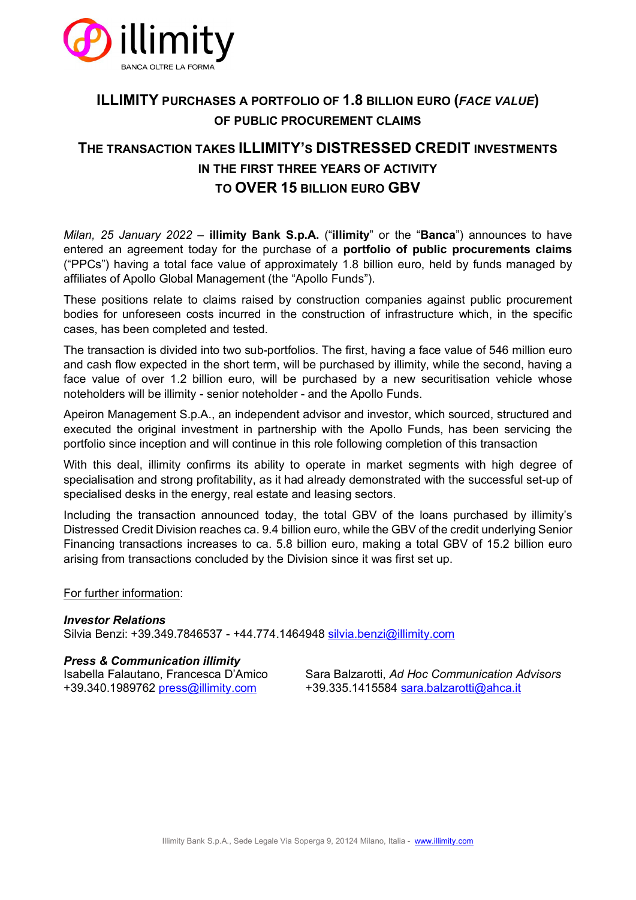

# **ILLIMITY PURCHASES A PORTFOLIO OF 1.8 BILLION EURO (***FACE VALUE***) OF PUBLIC PROCUREMENT CLAIMS**

# **THE TRANSACTION TAKES ILLIMITY'S DISTRESSED CREDIT INVESTMENTS IN THE FIRST THREE YEARS OF ACTIVITY TO OVER 15 BILLION EURO GBV**

*Milan, 25 January 2022* – **illimity Bank S.p.A.** ("**illimity**" or the "**Banca**") announces to have entered an agreement today for the purchase of a **portfolio of public procurements claims**  ("PPCs") having a total face value of approximately 1.8 billion euro, held by funds managed by affiliates of Apollo Global Management (the "Apollo Funds").

These positions relate to claims raised by construction companies against public procurement bodies for unforeseen costs incurred in the construction of infrastructure which, in the specific cases, has been completed and tested.

The transaction is divided into two sub-portfolios. The first, having a face value of 546 million euro and cash flow expected in the short term, will be purchased by illimity, while the second, having a face value of over 1.2 billion euro, will be purchased by a new securitisation vehicle whose noteholders will be illimity - senior noteholder - and the Apollo Funds.

Apeiron Management S.p.A., an independent advisor and investor, which sourced, structured and executed the original investment in partnership with the Apollo Funds, has been servicing the portfolio since inception and will continue in this role following completion of this transaction

With this deal, illimity confirms its ability to operate in market segments with high degree of specialisation and strong profitability, as it had already demonstrated with the successful set-up of specialised desks in the energy, real estate and leasing sectors.

Including the transaction announced today, the total GBV of the loans purchased by illimity's Distressed Credit Division reaches ca. 9.4 billion euro, while the GBV of the credit underlying Senior Financing transactions increases to ca. 5.8 billion euro, making a total GBV of 15.2 billion euro arising from transactions concluded by the Division since it was first set up.

### For further information:

### *Investor Relations*

Silvia Benzi: +39.349.7846537 - +44.774.1464948 [silvia.benzi@illimity.com](mailto:silvia.benzi@illimity.com)

### *Press & Communication illimity*

Isabella Falautano, Francesca D'Amico Sara Balzarotti, *Ad Hoc Communication Advisors* +39.340.1989762 [press@illimity.com](mailto:press@illimity.com) +39.335.1415584 [sara.balzarotti@ahca.it](mailto:sara.balzarotti@ahca.it)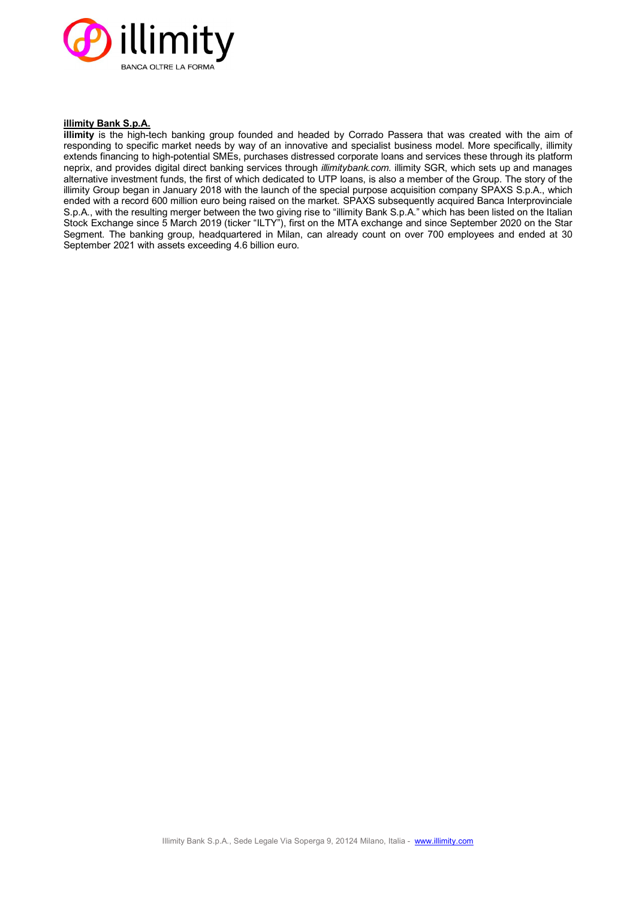

#### **illimity Bank S.p.A.**

**illimity** is the high-tech banking group founded and headed by Corrado Passera that was created with the aim of responding to specific market needs by way of an innovative and specialist business model. More specifically, illimity extends financing to high-potential SMEs, purchases distressed corporate loans and services these through its platform neprix, and provides digital direct banking services through *illimitybank.com*. illimity SGR, which sets up and manages alternative investment funds, the first of which dedicated to UTP loans, is also a member of the Group. The story of the illimity Group began in January 2018 with the launch of the special purpose acquisition company SPAXS S.p.A., which ended with a record 600 million euro being raised on the market. SPAXS subsequently acquired Banca Interprovinciale S.p.A., with the resulting merger between the two giving rise to "illimity Bank S.p.A." which has been listed on the Italian Stock Exchange since 5 March 2019 (ticker "ILTY"), first on the MTA exchange and since September 2020 on the Star Segment. The banking group, headquartered in Milan, can already count on over 700 employees and ended at 30 September 2021 with assets exceeding 4.6 billion euro.